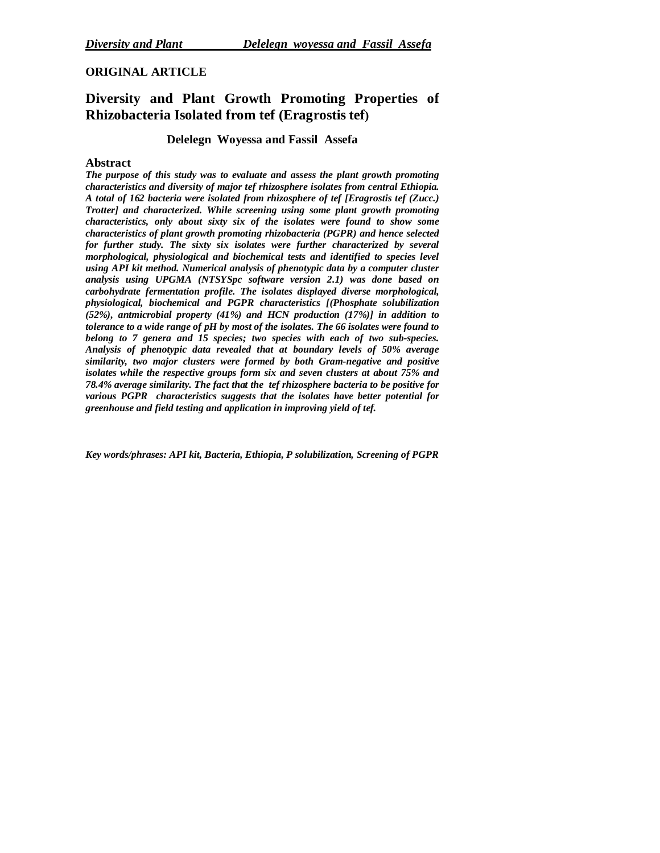# **ORIGINAL ARTICLE**

# **Diversity and Plant Growth Promoting Properties of Rhizobacteria Isolated from tef (Eragrostis tef)**

## **Delelegn Woyessa and Fassil Assefa**

## **Abstract**

*The purpose of this study was to evaluate and assess the plant growth promoting characteristics and diversity of major tef rhizosphere isolates from central Ethiopia. A total of 162 bacteria were isolated from rhizosphere of tef [Eragrostis tef (Zucc.) Trotter] and characterized. While screening using some plant growth promoting characteristics, only about sixty six of the isolates were found to show some characteristics of plant growth promoting rhizobacteria (PGPR) and hence selected for further study. The sixty six isolates were further characterized by several morphological, physiological and biochemical tests and identified to species level using API kit method. Numerical analysis of phenotypic data by a computer cluster analysis using UPGMA (NTSYSpc software version 2.1) was done based on carbohydrate fermentation profile. The isolates displayed diverse morphological, physiological, biochemical and PGPR characteristics [(Phosphate solubilization (52%), antmicrobial property (41%) and HCN production (17%)] in addition to tolerance to a wide range of pH by most of the isolates. The 66 isolates were found to belong to 7 genera and 15 species; two species with each of two sub-species. Analysis of phenotypic data revealed that at boundary levels of 50% average similarity, two major clusters were formed by both Gram-negative and positive isolates while the respective groups form six and seven clusters at about 75% and 78.4% average similarity. The fact that the tef rhizosphere bacteria to be positive for various PGPR characteristics suggests that the isolates have better potential for greenhouse and field testing and application in improving yield of tef.*

*Key words/phrases: API kit, Bacteria, Ethiopia, P solubilization, Screening of PGPR*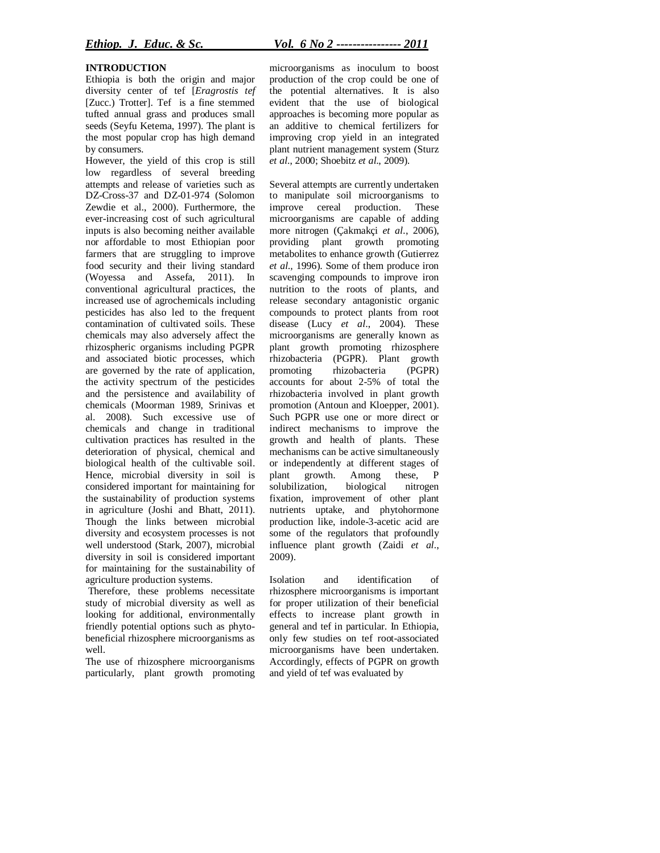#### **INTRODUCTION**

Ethiopia is both the origin and major diversity center of tef [*Eragrostis tef* [Zucc.) Trotter]. Tef is a fine stemmed tufted annual grass and produces small seeds (Seyfu Ketema, 1997). The plant is the most popular crop has high demand by consumers.

However, the yield of this crop is still low regardless of several breeding attempts and release of varieties such as DZ-Cross-37 and DZ-01-974 (Solomon Zewdie et al., 2000). Furthermore, the ever-increasing cost of such agricultural inputs is also becoming neither available nor affordable to most Ethiopian poor farmers that are struggling to improve food security and their living standard (Woyessa and Assefa, 2011). In conventional agricultural practices, the increased use of agrochemicals including pesticides has also led to the frequent contamination of cultivated soils. These chemicals may also adversely affect the rhizospheric organisms including PGPR and associated biotic processes, which are governed by the rate of application, the activity spectrum of the pesticides and the persistence and availability of chemicals (Moorman 1989, Srinivas et al. 2008). Such excessive use of chemicals and change in traditional cultivation practices has resulted in the deterioration of physical, chemical and biological health of the cultivable soil. Hence, microbial diversity in soil is considered important for maintaining for the sustainability of production systems in agriculture (Joshi and Bhatt, 2011). Though the links between microbial diversity and ecosystem processes is not well understood (Stark, 2007), microbial diversity in soil is considered important for maintaining for the sustainability of agriculture production systems.

Therefore, these problems necessitate study of microbial diversity as well as looking for additional, environmentally friendly potential options such as phytobeneficial rhizosphere microorganisms as well.

The use of rhizosphere microorganisms particularly, plant growth promoting microorganisms as inoculum to boost production of the crop could be one of the potential alternatives. It is also evident that the use of biological approaches is becoming more popular as an additive to chemical fertilizers for improving crop yield in an integrated plant nutrient management system (Sturz *et al*., 2000; Shoebitz *et al*., 2009).

Several attempts are currently undertaken to manipulate soil microorganisms to improve cereal production. These microorganisms are capable of adding more nitrogen (Çakmakçi *et al*., 2006), providing plant growth promoting metabolites to enhance growth (Gutierrez *et al.,* 1996). Some of them produce iron scavenging compounds to improve iron nutrition to the roots of plants, and release secondary antagonistic organic compounds to protect plants from root disease (Lucy *et al*., 2004). These microorganisms are generally known as plant growth promoting rhizosphere rhizobacteria (PGPR). Plant growth<br>promoting rhizobacteria (PGPR) promoting rhizobacteria accounts for about 2-5% of total the rhizobacteria involved in plant growth promotion (Antoun and Kloepper, 2001). Such PGPR use one or more direct or indirect mechanisms to improve the growth and health of plants. These mechanisms can be active simultaneously or independently at different stages of plant growth. Among these, P solubilization, biological nitrogen fixation, improvement of other plant nutrients uptake, and phytohormone production like, indole-3-acetic acid are some of the regulators that profoundly influence plant growth (Zaidi *et al.*, 2009).

Isolation and identification of rhizosphere microorganisms is important for proper utilization of their beneficial effects to increase plant growth in general and tef in particular. In Ethiopia, only few studies on tef root-associated microorganisms have been undertaken. Accordingly, effects of PGPR on growth and yield of tef was evaluated by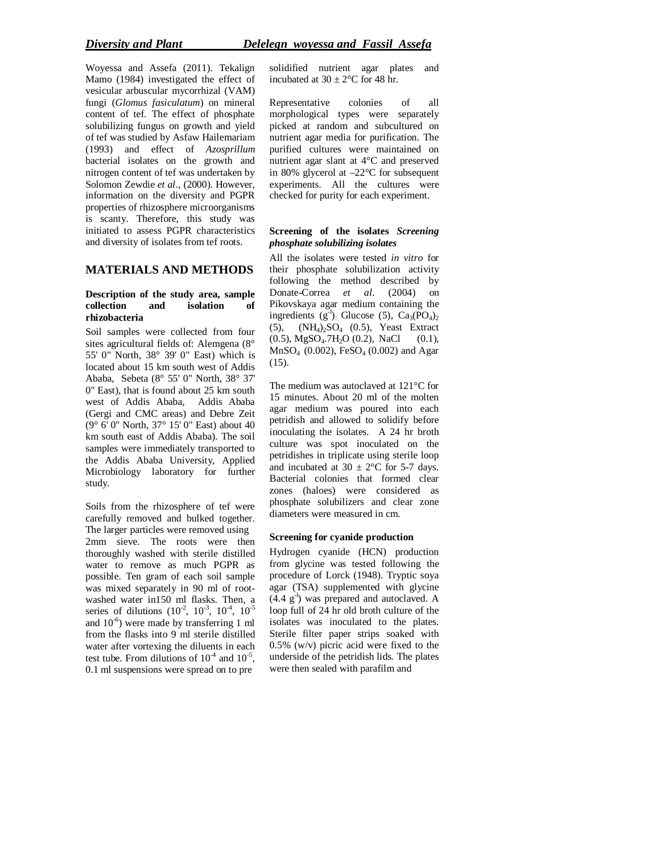Woyessa and Assefa (2011). Tekalign Mamo (1984) investigated the effect of vesicular arbuscular mycorrhizal (VAM) fungi (*Glomus fasiculatum*) on mineral content of tef. The effect of phosphate solubilizing fungus on growth and yield of tef was studied by Asfaw Hailemariam (1993) and effect of *Azosprillum* bacterial isolates on the growth and nitrogen content of tef was undertaken by Solomon Zewdie *et al*., (2000). However, information on the diversity and PGPR properties of rhizosphere microorganisms is scanty. Therefore, this study was initiated to assess PGPR characteristics and diversity of isolates from tef roots.

## **MATERIALS AND METHODS**

### **Description of the study area, sample collection and isolation of rhizobacteria**

Soil samples were collected from four sites agricultural fields of: Alemgena (8° 55' 0" North, 38° 39' 0" East) which is located about 15 km south west of Addis Ababa, Sebeta (8° 55' 0" North, 38° 37' 0" East), that is found about 25 km south west of Addis Ababa, Addis Ababa (Gergi and CMC areas) and Debre Zeit (9° 6' 0" North, 37° 15' 0" East) about 40 km south east of Addis Ababa). The soil samples were immediately transported to the Addis Ababa University, Applied Microbiology laboratory for further study.

Soils from the rhizosphere of tef were carefully removed and bulked together. The larger particles were removed using 2mm sieve. The roots were then thoroughly washed with sterile distilled water to remove as much PGPR as possible. Ten gram of each soil sample was mixed separately in 90 ml of rootwashed water in150 ml flasks. Then, a series of dilutions  $(10^{-2}, 10^{-3}, 10^{-4}, 10^{-5})$ and  $10^{-6}$ ) were made by transferring 1 ml from the flasks into 9 ml sterile distilled water after vortexing the diluents in each test tube. From dilutions of  $10^{-4}$  and  $10^{-5}$ , 0.1 ml suspensions were spread on to pre

solidified nutrient agar plates and incubated at  $30 \pm 2$ °C for 48 hr.

Representative colonies of all morphological types were separately picked at random and subcultured on nutrient agar media for purification. The purified cultures were maintained on nutrient agar slant at 4°C and preserved in 80% glycerol at –22°C for subsequent experiments. All the cultures were checked for purity for each experiment.

### **Screening of the isolates** *Screening phosphate solubilizing isolates*

All the isolates were tested *in vitro* for their phosphate solubilization activity following the method described by Donate-Correa *et al*. (2004) on Pikovskaya agar medium containing the ingredients  $(g^{-1})$ . Glucose (5), Ca<sub>3</sub>(PO<sub>4</sub>)<sub>2</sub>  $(5)$ ,  $(NH_4)$ <sub>2</sub>SO<sub>4</sub>  $(0.5)$ , Yeast Extract  $(0.5)$ , MgSO<sub>4</sub>.7H<sub>2</sub>O  $(0.2)$ , NaCl  $(0.1)$ , MnSO4 (0.002), FeSO<sup>4</sup> (0.002) and Agar (15).

The medium was autoclaved at 121°C for 15 minutes. About 20 ml of the molten agar medium was poured into each petridish and allowed to solidify before inoculating the isolates. A 24 hr broth culture was spot inoculated on the petridishes in triplicate using sterile loop and incubated at  $30 \pm 2$ °C for 5-7 days. Bacterial colonies that formed clear zones (haloes) were considered as phosphate solubilizers and clear zone diameters were measured in cm.

## **Screening for cyanide production**

Hydrogen cyanide (HCN) production from glycine was tested following the procedure of Lorck (1948). Tryptic soya agar (TSA) supplemented with glycine  $(4.4 \text{ g}^{-1})$  was prepared and autoclaved. A loop full of 24 hr old broth culture of the isolates was inoculated to the plates. Sterile filter paper strips soaked with 0.5% (w/v) picric acid were fixed to the underside of the petridish lids. The plates were then sealed with parafilm and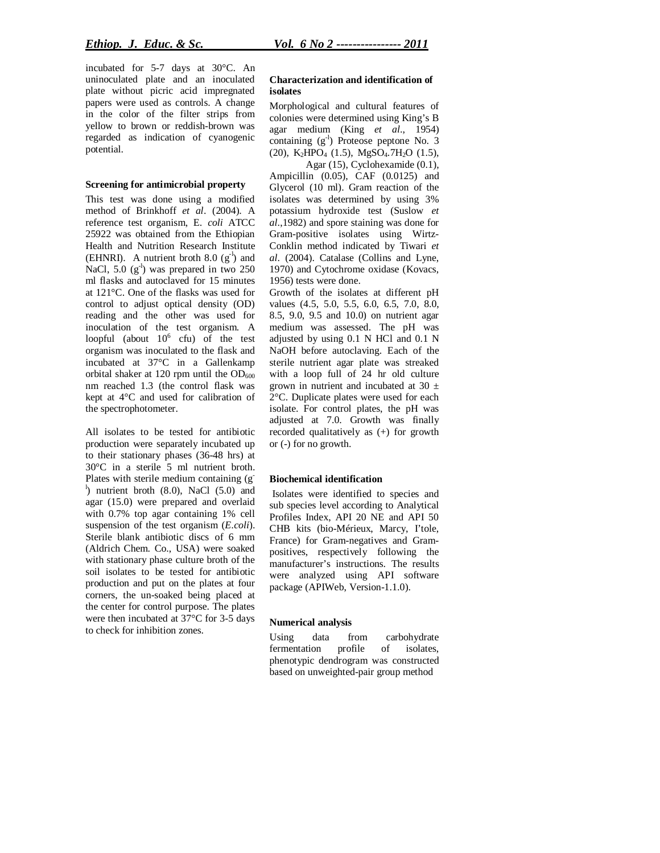incubated for 5-7 days at 30°C. An uninoculated plate and an inoculated plate without picric acid impregnated papers were used as controls. A change in the color of the filter strips from yellow to brown or reddish-brown was regarded as indication of cyanogenic potential.

#### **Screening for antimicrobial property**

This test was done using a modified method of Brinkhoff *et al*. (2004). A reference test organism, E*. coli* ATCC 25922 was obtained from the Ethiopian Health and Nutrition Research Institute (EHNRI). A nutrient broth  $8.0 \text{ (g}^{-1})$  and NaCl, 5.0 (g<sup>-l</sup>) was prepared in two 250 ml flasks and autoclaved for 15 minutes at 121°C. One of the flasks was used for control to adjust optical density (OD) reading and the other was used for inoculation of the test organism. A loopful (about  $10^6$  cfu) of the test organism was inoculated to the flask and incubated at 37°C in a Gallenkamp orbital shaker at 120 rpm until the  $OD_{600}$ nm reached 1.3 (the control flask was kept at 4°C and used for calibration of the spectrophotometer.

All isolates to be tested for antibiotic production were separately incubated up to their stationary phases (36-48 hrs) at 30°C in a sterile 5 ml nutrient broth. Plates with sterile medium containing (g-<sup>1</sup>) nutrient broth (8.0), NaCl (5.0) and agar (15.0) were prepared and overlaid with 0.7% top agar containing 1% cell suspension of the test organism (*E.coli*). Sterile blank antibiotic discs of 6 mm (Aldrich Chem. Co., USA) were soaked with stationary phase culture broth of the soil isolates to be tested for antibiotic production and put on the plates at four corners, the un-soaked being placed at the center for control purpose. The plates were then incubated at 37°C for 3-5 days to check for inhibition zones.

#### **Characterization and identification of isolates**

Morphological and cultural features of colonies were determined using King's B agar medium (King *et al*., 1954) containing (g<sup>-l</sup>) Proteose peptone No. 3 (20),  $K_2HPO_4$  (1.5), MgSO<sub>4</sub>.7H<sub>2</sub>O (1.5),

Agar (15), Cyclohexamide (0.1), Ampicillin (0.05), CAF (0.0125) and Glycerol (10 ml). Gram reaction of the isolates was determined by using 3% potassium hydroxide test (Suslow *et al*.,1982) and spore staining was done for Gram-positive isolates using Wirtz-Conklin method indicated by Tiwari *et al*. (2004). Catalase (Collins and Lyne, 1970) and Cytochrome oxidase (Kovacs, 1956) tests were done.

Growth of the isolates at different pH values (4.5, 5.0, 5.5, 6.0, 6.5, 7.0, 8.0, 8.5, 9.0, 9.5 and 10.0) on nutrient agar medium was assessed. The pH was adjusted by using 0.1 N HCl and 0.1 N NaOH before autoclaving. Each of the sterile nutrient agar plate was streaked with a loop full of 24 hr old culture grown in nutrient and incubated at 30  $\pm$ 2°C. Duplicate plates were used for each isolate. For control plates, the pH was adjusted at 7.0. Growth was finally recorded qualitatively as (+) for growth or (-) for no growth.

#### **Biochemical identification**

Isolates were identified to species and sub species level according to Analytical Profiles Index, API 20 NE and API 50 CHB kits (bio-Mérieux, Marcy, I'tole, France) for Gram-negatives and Grampositives, respectively following the manufacturer's instructions. The results were analyzed using API software package (APIWeb, Version-1.1.0).

#### **Numerical analysis**

Using data from carbohydrate<br>fermentation profile of isolates. fermentation profile of isolates, phenotypic dendrogram was constructed based on unweighted-pair group method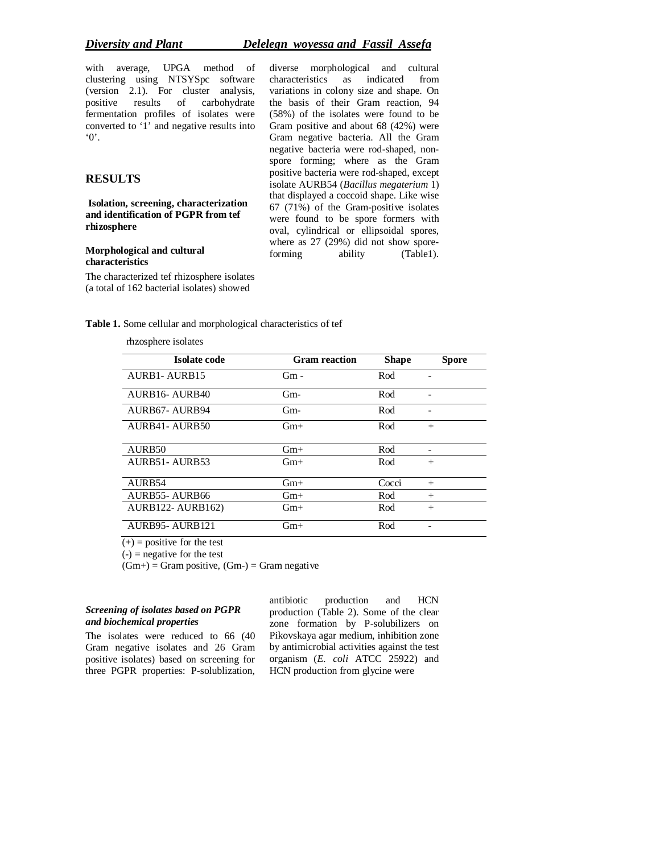## *Diversity and Plant Delelegn woyessa and Fassil Assefa*

with average, UPGA method of clustering using NTSYSpc software (version 2.1). For cluster analysis, positive results of carbohydrate fermentation profiles of isolates were converted to '1' and negative results into '0'.

## **RESULTS**

**Isolation, screening, characterization and identification of PGPR from tef rhizosphere** 

**Morphological and cultural characteristics** 

The characterized tef rhizosphere isolates (a total of 162 bacterial isolates) showed

diverse morphological and cultural characteristics as indicated from variations in colony size and shape. On the basis of their Gram reaction, 94 (58%) of the isolates were found to be Gram positive and about 68 (42%) were Gram negative bacteria. All the Gram negative bacteria were rod-shaped, nonspore forming; where as the Gram positive bacteria were rod-shaped, except isolate AURB54 (*Bacillus megaterium* 1) that displayed a coccoid shape. Like wise 67 (71%) of the Gram-positive isolates were found to be spore formers with oval, cylindrical or ellipsoidal spores, where as 27 (29%) did not show sporeforming ability (Table1).

**Table 1.** Some cellular and morphological characteristics of tef

rhzosphere isolates

| Isolate code             | <b>Gram</b> reaction |              |              |
|--------------------------|----------------------|--------------|--------------|
|                          |                      | <b>Shape</b> | <b>Spore</b> |
| AURB1-AURB15             | Gm -                 | Rod          |              |
|                          |                      |              |              |
| AURB16-AURB40            | $Gm-$                | Rod          |              |
|                          |                      |              |              |
| AURB67-AURB94            | Gm-                  | Rod          |              |
| AURB41-AURB50            | $Gm+$                | Rod          | $^{+}$       |
|                          |                      |              |              |
| AURB50                   | $Gm+$                | Rod          |              |
| AURB51-AURB53            | $Gm+$                | Rod          | $^{+}$       |
|                          |                      |              |              |
| AURB54                   | $Gm+$                | Cocci        | $+$          |
| <b>AURB55-AURB66</b>     | $Gm+$                | Rod          | $+$          |
| <b>AURB122- AURB162)</b> | $Gm+$                | Rod          | $+$          |
|                          |                      |              |              |
| AURB95-AURB121           | $Gm+$                | Rod          |              |
|                          |                      |              |              |

 $(+)$  = positive for the test

 $(-)$  = negative for the test

 $(Gm+)$  = Gram positive,  $(Gm-)$  = Gram negative

## *Screening of isolates based on PGPR and biochemical properties*

The isolates were reduced to 66 (40 Gram negative isolates and 26 Gram positive isolates) based on screening for three PGPR properties: P-solublization, antibiotic production and HCN production (Table 2). Some of the clear zone formation by P-solubilizers on Pikovskaya agar medium, inhibition zone by antimicrobial activities against the test organism (*E. coli* ATCC 25922) and HCN production from glycine were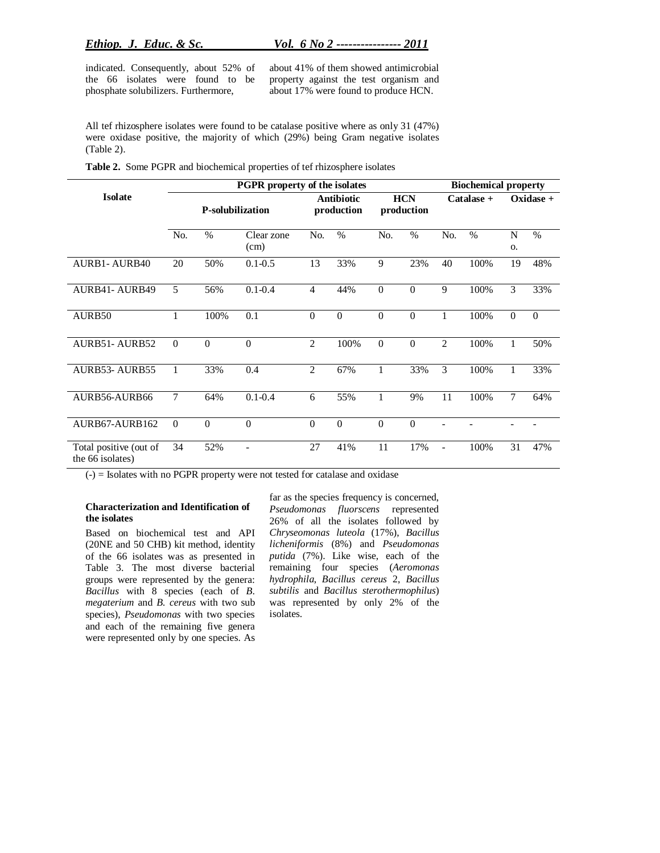indicated. Consequently, about 52% of the 66 isolates were found to be phosphate solubilizers. Furthermore,

about 41% of them showed antimicrobial property against the test organism and about 17% were found to produce HCN.

All tef rhizosphere isolates were found to be catalase positive where as only 31 (47%) were oxidase positive, the majority of which (29%) being Gram negative isolates (Table 2).

**Table 2.** Some PGPR and biochemical properties of tef rhizosphere isolates

|                                            | <b>PGPR</b> property of the isolates |               |                                 |                  |                          |                  | <b>Biochemical property</b> |                |             |                |          |
|--------------------------------------------|--------------------------------------|---------------|---------------------------------|------------------|--------------------------|------------------|-----------------------------|----------------|-------------|----------------|----------|
| <b>Isolate</b>                             | <b>P-solubilization</b>              |               | <b>Antibiotic</b><br>production |                  | <b>HCN</b><br>production |                  | Catalase +                  |                | $Oxidase +$ |                |          |
|                                            | No.                                  | $\frac{0}{0}$ | Clear zone<br>(cm)              | No.              | $\frac{0}{0}$            | No.              | $\%$                        | No.            | $\%$        | N<br><b>O.</b> | $\%$     |
| <b>AURB1-AURB40</b>                        | 20                                   | 50%           | $0.1 - 0.5$                     | 13               | 33%                      | 9                | 23%                         | 40             | 100%        | 19             | 48%      |
| <b>AURB41- AURB49</b>                      | $\overline{5}$                       | 56%           | $0.1 - 0.4$                     | $\overline{4}$   | 44%                      | $\boldsymbol{0}$ | $\boldsymbol{0}$            | 9              | 100%        | $\overline{3}$ | 33%      |
| AURB50                                     | 1                                    | 100%          | 0.1                             | $\mathbf{0}$     | $\mathbf{0}$             | $\overline{0}$   | $\overline{0}$              | 1              | 100%        | $\mathbf{0}$   | $\theta$ |
| <b>AURB51- AURB52</b>                      | $\Omega$                             | $\theta$      | $\Omega$                        | $\overline{2}$   | 100%                     | $\overline{0}$   | $\overline{0}$              | $\overline{2}$ | 100%        | $\mathbf{1}$   | 50%      |
| <b>AURB53-AURB55</b>                       | 1                                    | 33%           | 0.4                             | $\overline{c}$   | 67%                      | 1                | 33%                         | 3              | 100%        | 1              | 33%      |
| AURB56-AURB66                              | 7                                    | 64%           | $0.1 - 0.4$                     | 6                | 55%                      | $\mathbf{1}$     | 9%                          | 11             | 100%        | $\overline{7}$ | 64%      |
| AURB67-AURB162                             | $\Omega$                             | $\Omega$      | $\theta$                        | $\boldsymbol{0}$ | $\boldsymbol{0}$         | $\theta$         | $\boldsymbol{0}$            |                |             |                |          |
| Total positive (out of<br>the 66 isolates) | 34                                   | 52%           | ۰                               | 27               | 41%                      | 11               | 17%                         | ٠              | 100%        | 31             | 47%      |

(-) = Isolates with no PGPR property were not tested for catalase and oxidase

#### **Characterization and Identification of the isolates**

Based on biochemical test and API (20NE and 50 CHB) kit method, identity of the 66 isolates was as presented in Table 3. The most diverse bacterial groups were represented by the genera: *Bacillus* with 8 species (each of *B. megaterium* and *B. cereus* with two sub species), *Pseudomonas* with two species and each of the remaining five genera were represented only by one species. As

far as the species frequency is concerned, *Pseudomonas fluorscens* represented 26% of all the isolates followed by *Chryseomonas luteola* (17%), *Bacillus licheniformis* (8%) and *Pseudomonas putida* (7%). Like wise, each of the remaining four species (*Aeromonas hydrophila*, *Bacillus cereus* 2, *Bacillus subtilis* and *Bacillus sterothermophilus*) was represented by only 2% of the isolates.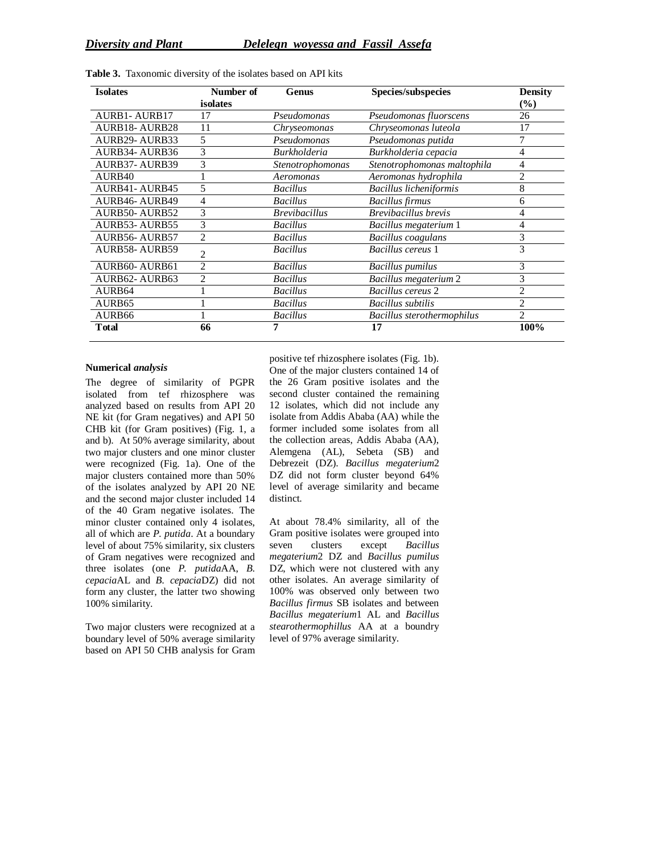| <b>Isolates</b>       | Number of      | <b>Genus</b>         | Species/subspecies          | <b>Density</b> |  |
|-----------------------|----------------|----------------------|-----------------------------|----------------|--|
|                       | isolates       |                      |                             | $($ %)         |  |
| <b>AURB1-AURB17</b>   | 17             | Pseudomonas          | Pseudomonas fluorscens      | 26             |  |
| <b>AURB18-AURB28</b>  | 11             | Chryseomonas         | Chryseomonas luteola        | 17             |  |
| <b>AURB29- AURB33</b> | 5              | Pseudomonas          | Pseudomonas putida          |                |  |
| <b>AURB34- AURB36</b> | 3              | <b>Burkholderia</b>  | Burkholderia cepacia        | 4              |  |
| <b>AURB37-AURB39</b>  | 3              | Stenotrophomonas     | Stenotrophomonas maltophila | 4              |  |
| AURB40                |                | Aeromonas            | Aeromonas hydrophila        | $\overline{2}$ |  |
| <b>AURB41-AURB45</b>  | 5              | <b>Bacillus</b>      | Bacillus licheniformis      | 8              |  |
| <b>AURB46- AURB49</b> | 4              | <b>Bacillus</b>      | <b>Bacillus</b> firmus      | 6              |  |
| <b>AURB50-AURB52</b>  | 3              | <b>Brevibacillus</b> | Brevibacillus brevis        | 4              |  |
| <b>AURB53-AURB55</b>  | 3              | <b>Bacillus</b>      | Bacillus megaterium 1       | 4              |  |
| <b>AURB56-AURB57</b>  | $\overline{c}$ | <b>Bacillus</b>      | <b>Bacillus</b> coagulans   | 3              |  |
| <b>AURB58-AURB59</b>  | 2              | <b>Bacillus</b>      | Bacillus cereus 1           | 3              |  |
| AURB60-AURB61         | $\overline{2}$ | <b>Bacillus</b>      | <b>Bacillus pumilus</b>     | 3              |  |
| AURB62-AURB63         | 2              | <b>Bacillus</b>      | Bacillus megaterium 2       | 3              |  |
| AURB64                |                | <b>Bacillus</b>      | Bacillus cereus 2           | $\overline{2}$ |  |
| AURB <sub>65</sub>    |                | <b>Bacillus</b>      | <b>Bacillus</b> subtilis    | 2              |  |
| AURB <sub>66</sub>    |                | <b>Bacillus</b>      | Bacillus sterothermophilus  | 2              |  |
| Total                 | 66             | 7                    | 17                          | 100%           |  |

**Table 3.** Taxonomic diversity of the isolates based on API kits

#### **Numerical** *analysis*

The degree of similarity of PGPR isolated from tef rhizosphere was analyzed based on results from API 20 NE kit (for Gram negatives) and API 50 CHB kit (for Gram positives) (Fig. 1, a and b). At 50% average similarity, about two major clusters and one minor cluster were recognized (Fig. 1a). One of the major clusters contained more than 50% of the isolates analyzed by API 20 NE and the second major cluster included 14 of the 40 Gram negative isolates. The minor cluster contained only 4 isolates, all of which are *P. putida*. At a boundary level of about 75% similarity, six clusters of Gram negatives were recognized and three isolates (one *P. putida*AA, *B. cepacia*AL and *B. cepacia*DZ) did not form any cluster, the latter two showing 100% similarity.

Two major clusters were recognized at a boundary level of 50% average similarity based on API 50 CHB analysis for Gram positive tef rhizosphere isolates (Fig. 1b). One of the major clusters contained 14 of the 26 Gram positive isolates and the second cluster contained the remaining 12 isolates, which did not include any isolate from Addis Ababa (AA) while the former included some isolates from all the collection areas, Addis Ababa (AA), Alemgena (AL), Sebeta (SB) and Debrezeit (DZ). *Bacillus megaterium*2 DZ did not form cluster beyond 64% level of average similarity and became distinct.

At about 78.4% similarity, all of the Gram positive isolates were grouped into seven clusters except *Bacillus megaterium*2 DZ and *Bacillus pumilus*  DZ, which were not clustered with any other isolates. An average similarity of 100% was observed only between two *Bacillus firmus* SB isolates and between *Bacillus megaterium*1 AL and *Bacillus stearothermophillus* AA at a boundry level of 97% average similarity.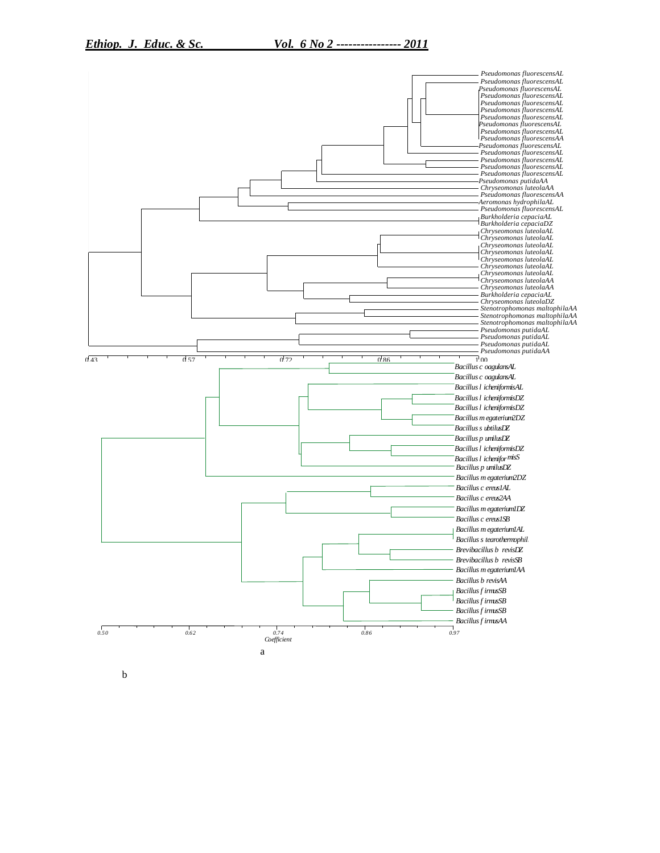

b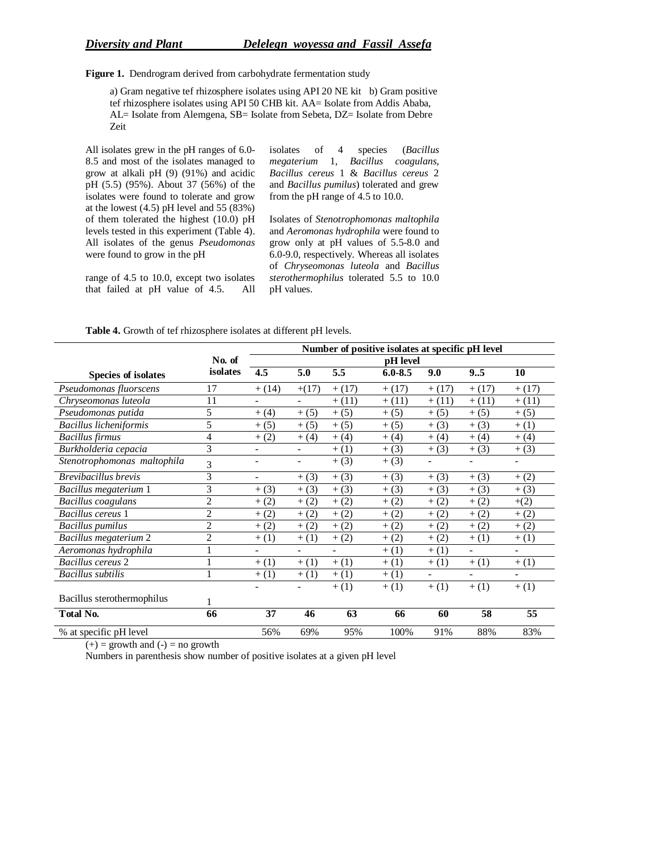**Figure 1.** Dendrogram derived from carbohydrate fermentation study

a) Gram negative tef rhizosphere isolates using API 20 NE kit b) Gram positive tef rhizosphere isolates using API 50 CHB kit. AA= Isolate from Addis Ababa, AL= Isolate from Alemgena, SB= Isolate from Sebeta, DZ= Isolate from Debre Zeit

All isolates grew in the pH ranges of 6.0- 8.5 and most of the isolates managed to grow at alkali pH (9) (91%) and acidic pH (5.5) (95%). About 37 (56%) of the isolates were found to tolerate and grow at the lowest (4.5) pH level and 55 (83%) of them tolerated the highest (10.0) pH levels tested in this experiment (Table 4). All isolates of the genus *Pseudomonas* were found to grow in the pH

range of 4.5 to 10.0, except two isolates that failed at pH value of 4.5. All isolates of 4 species (*Bacillus megaterium* 1, *Bacillus coagulans*, *Bacillus cereus* 1 & *Bacillus cereus* 2 and *Bacillus pumilus*) tolerated and grew from the pH range of 4.5 to 10.0.

Isolates of *Stenotrophomonas maltophila* and *Aeromonas hydrophila* were found to grow only at pH values of 5.5-8.0 and 6.0-9.0, respectively. Whereas all isolates of *Chryseomonas luteola* and *Bacillus sterothermophilus* tolerated 5.5 to 10.0 pH values.

|                             | Number of positive isolates at specific pH level |                              |         |          |             |                          |          |                          |
|-----------------------------|--------------------------------------------------|------------------------------|---------|----------|-------------|--------------------------|----------|--------------------------|
|                             | No. of                                           | pH level                     |         |          |             |                          |          |                          |
| <b>Species of isolates</b>  | isolates                                         | 4.5                          | 5.0     | 5.5      | $6.0 - 8.5$ | 9.0                      | 9.5      | 10                       |
| Pseudomonas fluorscens      | 17                                               | $+(14)$                      | $+(17)$ | $+ (17)$ | $+ (17)$    | $+(17)$                  | $+ (17)$ | $+ (17)$                 |
| Chryseomonas luteola        | 11                                               |                              |         | $+(11)$  | $+ (11)$    | $+(11)$                  | $+ (11)$ | $+ (11)$                 |
| Pseudomonas putida          | 5                                                | $+(4)$                       | $+(5)$  | $+(5)$   | $+ (5)$     | $+(5)$                   | $+(5)$   | $+(5)$                   |
| Bacillus licheniformis      | 5                                                | $+(5)$                       | $+ (5)$ | $+ (5)$  | $+ (5)$     | $+(3)$                   | $+(3)$   | $+ (1)$                  |
| <b>Bacillus</b> firmus      | 4                                                | $+ (2)$                      | $+(4)$  | $+(4)$   | $+ (4)$     | $+(4)$                   | $+(4)$   | $+(4)$                   |
| Burkholderia cepacia        | 3                                                | $\overline{\phantom{a}}$     |         | $+(1)$   | $+ (3)$     | $+ (3)$                  | $+(3)$   | $+ (3)$                  |
| Stenotrophomonas maltophila | 3                                                | $\overline{\phantom{a}}$     | ۰       | $+(3)$   | $+ (3)$     | $\overline{\phantom{a}}$ |          |                          |
| <b>Brevibacillus</b> brevis | 3                                                | $\qquad \qquad \blacksquare$ | $+(3)$  | $+(3)$   | $+ (3)$     | $+(3)$                   | $+(3)$   | $+ (2)$                  |
| Bacillus megaterium 1       | 3                                                | $+ (3)$                      | $+(3)$  | $+ (3)$  | $+ (3)$     | $+(3)$                   | $+ (3)$  | $+ (3)$                  |
| Bacillus coagulans          | $\overline{2}$                                   | $+ (2)$                      | $+ (2)$ | $+ (2)$  | (2)<br>$+$  | $+ (2)$                  | $+ (2)$  | $+(2)$                   |
| Bacillus cereus 1           | $\overline{2}$                                   | $+ (2)$                      | $+ (2)$ | $+ (2)$  | (2)<br>$+$  | $+ (2)$                  | $+ (2)$  | $+ (2)$                  |
| <b>Bacillus</b> pumilus     | $\overline{c}$                                   | $+ (2)$                      | $+ (2)$ | $+ (2)$  | (2)<br>$+$  | $+ (2)$                  | $+ (2)$  | $+ (2)$                  |
| Bacillus megaterium 2       | $\overline{c}$                                   | $+(1)$                       | $+(1)$  | $+ (2)$  | (2)<br>$+$  | $+ (2)$                  | $+(1)$   | $+ (1)$                  |
| Aeromonas hydrophila        |                                                  |                              |         |          | $+ (1)$     | $+(1)$                   |          | $\overline{\phantom{0}}$ |
| Bacillus cereus 2           |                                                  | $+(1)$                       | $+ (1)$ | $+(1)$   | $+ (1)$     | $+(1)$                   | $+(1)$   | $+ (1)$                  |
| <b>Bacillus</b> subtilis    | $\mathbf{1}$                                     | $+ (1)$                      | $+ (1)$ | $+ (1)$  | $+ (1)$     |                          |          | $\overline{\phantom{a}}$ |
|                             |                                                  |                              |         | $+(1)$   | $+ (1)$     | $+(1)$                   | $+(1)$   | $+(1)$                   |
| Bacillus sterothermophilus  |                                                  |                              |         |          |             |                          |          |                          |
| Total No.                   | 66                                               | 37                           | 46      | 63       | 66          | 60                       | 58       | 55                       |
| % at specific pH level      |                                                  | 56%                          | 69%     | 95%      | 100%        | 91%                      | 88%      | 83%                      |

**Table 4.** Growth of tef rhizosphere isolates at different pH levels.

 $(+)$  = growth and  $(-)$  = no growth

Numbers in parenthesis show number of positive isolates at a given pH level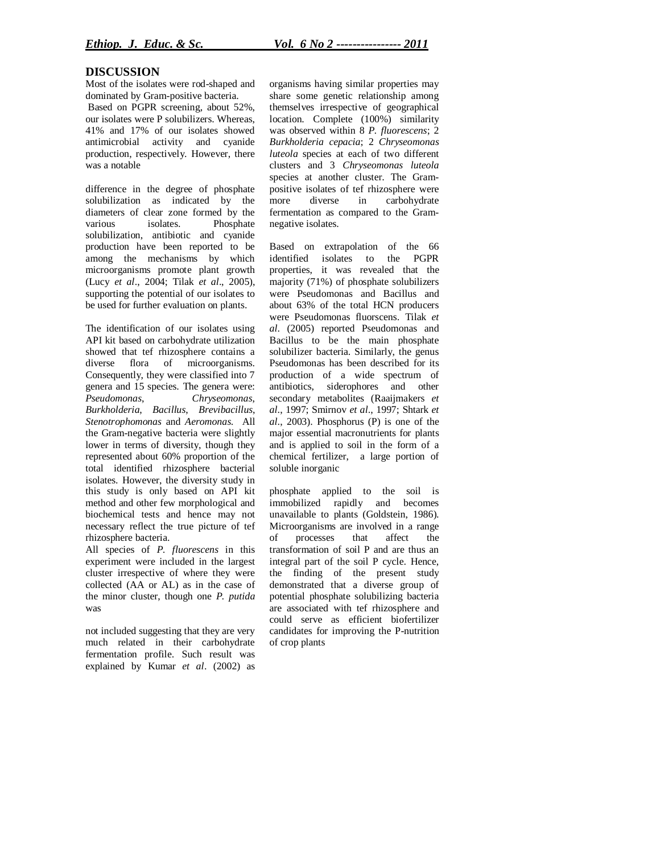## **DISCUSSION**

Most of the isolates were rod-shaped and dominated by Gram-positive bacteria.

Based on PGPR screening, about 52%, our isolates were P solubilizers. Whereas, 41% and 17% of our isolates showed antimicrobial activity and cyanide production, respectively. However, there was a notable

difference in the degree of phosphate solubilization as indicated by the diameters of clear zone formed by the various isolates. Phosphate solubilization, antibiotic and cyanide production have been reported to be among the mechanisms by which microorganisms promote plant growth (Lucy *et al*., 2004; Tilak *et al*., 2005), supporting the potential of our isolates to be used for further evaluation on plants.

The identification of our isolates using API kit based on carbohydrate utilization showed that tef rhizosphere contains a diverse flora of microorganisms. Consequently, they were classified into 7 genera and 15 species. The genera were: *Pseudomonas*, *Chryseomonas*, *Burkholderia*, *Bacillus*, *Brevibacillus*, *Stenotrophomonas* and *Aeromonas*. All the Gram-negative bacteria were slightly lower in terms of diversity, though they represented about 60% proportion of the total identified rhizosphere bacterial isolates. However, the diversity study in this study is only based on API kit method and other few morphological and biochemical tests and hence may not necessary reflect the true picture of tef rhizosphere bacteria.

All species of *P. fluorescens* in this experiment were included in the largest cluster irrespective of where they were collected (AA or AL) as in the case of the minor cluster, though one *P. putida*  was

not included suggesting that they are very much related in their carbohydrate fermentation profile. Such result was explained by Kumar *et al*. (2002) as organisms having similar properties may share some genetic relationship among themselves irrespective of geographical location. Complete (100%) similarity was observed within 8 *P. fluorescens*; 2 *Burkholderia cepacia*; 2 *Chryseomonas luteola* species at each of two different clusters and 3 *Chryseomonas luteola*  species at another cluster. The Grampositive isolates of tef rhizosphere were<br>more diverse in carbohydrate carbohydrate fermentation as compared to the Gramnegative isolates.

Based on extrapolation of the 66 identified isolates to the PGPR properties, it was revealed that the majority (71%) of phosphate solubilizers were Pseudomonas and Bacillus and about 63% of the total HCN producers were Pseudomonas fluorscens. Tilak *et al*. (2005) reported Pseudomonas and Bacillus to be the main phosphate solubilizer bacteria. Similarly, the genus Pseudomonas has been described for its production of a wide spectrum of antibiotics, siderophores and other secondary metabolites (Raaijmakers *et al*., 1997; Smirnov *et al*., 1997; Shtark *et al*., 2003). Phosphorus (P) is one of the major essential macronutrients for plants and is applied to soil in the form of a chemical fertilizer, a large portion of soluble inorganic

phosphate applied to the soil is immobilized rapidly and becomes unavailable to plants (Goldstein, 1986). Microorganisms are involved in a range of processes that affect the transformation of soil P and are thus an integral part of the soil P cycle. Hence, the finding of the present study demonstrated that a diverse group of potential phosphate solubilizing bacteria are associated with tef rhizosphere and could serve as efficient biofertilizer candidates for improving the P-nutrition of crop plants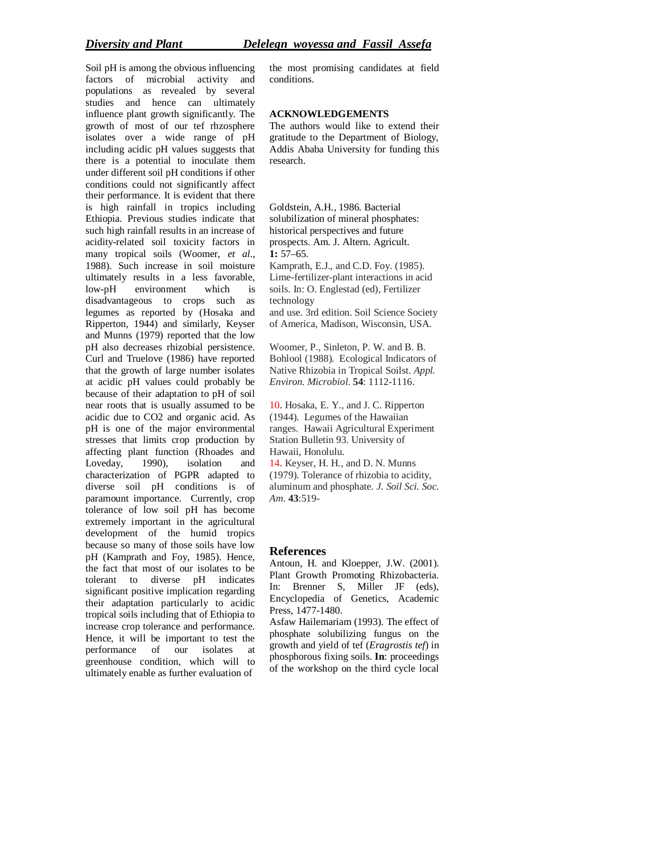Soil pH is among the obvious influencing factors of microbial activity and populations as revealed by several studies and hence can ultimately influence plant growth significantly. The growth of most of our tef rhzosphere isolates over a wide range of pH including acidic pH values suggests that there is a potential to inoculate them under different soil pH conditions if other conditions could not significantly affect their performance. It is evident that there is high rainfall in tropics including Ethiopia. Previous studies indicate that such high rainfall results in an increase of acidity-related soil toxicity factors in many tropical soils (Woomer, *et al*., 1988). Such increase in soil moisture ultimately results in a less favorable, low-pH environment which is disadvantageous to crops such as legumes as reported by (Hosaka and Ripperton, 1944) and similarly, Keyser and Munns (1979) reported that the low pH also decreases rhizobial persistence. Curl and Truelove (1986) have reported that the growth of large number isolates at acidic pH values could probably be because of their adaptation to pH of soil near roots that is usually assumed to be acidic due to CO2 and organic acid. As pH is one of the major environmental stresses that limits crop production by affecting plant function (Rhoades and Loveday, 1990), isolation and characterization of PGPR adapted to diverse soil pH conditions is of paramount importance. Currently, crop tolerance of low soil pH has become extremely important in the agricultural development of the humid tropics because so many of those soils have low pH (Kamprath and Foy, 1985). Hence, the fact that most of our isolates to be tolerant to diverse pH indicates significant positive implication regarding their adaptation particularly to acidic tropical soils including that of Ethiopia to increase crop tolerance and performance. Hence, it will be important to test the performance of our isolates at greenhouse condition, which will to ultimately enable as further evaluation of

the most promising candidates at field conditions.

#### **ACKNOWLEDGEMENTS**

The authors would like to extend their gratitude to the Department of Biology, Addis Ababa University for funding this research.

Goldstein, A.H., 1986. Bacterial solubilization of mineral phosphates: historical perspectives and future prospects. Am. J. Altern. Agricult. **1:** 57–65. Kamprath, E.J., and C.D. Foy. (1985). Lime-fertilizer-plant interactions in acid

soils. In: O. Englestad (ed), Fertilizer technology and use. 3rd edition. Soil Science Society

of America, Madison, Wisconsin, USA.

Woomer, P., Sinleton, P. W. and B. B. Bohlool (1988). Ecological Indicators of Native Rhizobia in Tropical Soilst. *Appl. Environ. Microbiol*. **54**: 1112-1116.

10. Hosaka, E. Y., and J. C. Ripperton (1944). Legumes of the Hawaiian ranges. Hawaii Agricultural Experiment Station Bulletin 93. University of Hawaii, Honolulu.

14. Keyser, H. H., and D. N. Munns (1979). Tolerance of rhizobia to acidity, aluminum and phosphate. *J. Soil Sci. Soc. Am*. **43**:519-

## **References**

Antoun, H. and Kloepper, J.W. (2001). Plant Growth Promoting Rhizobacteria. In: Brenner S, Miller JF (eds), Encyclopedia of Genetics, Academic Press, 1477-1480.

Asfaw Hailemariam (1993). The effect of phosphate solubilizing fungus on the growth and yield of tef (*Eragrostis tef*) in phosphorous fixing soils. **In**: proceedings of the workshop on the third cycle local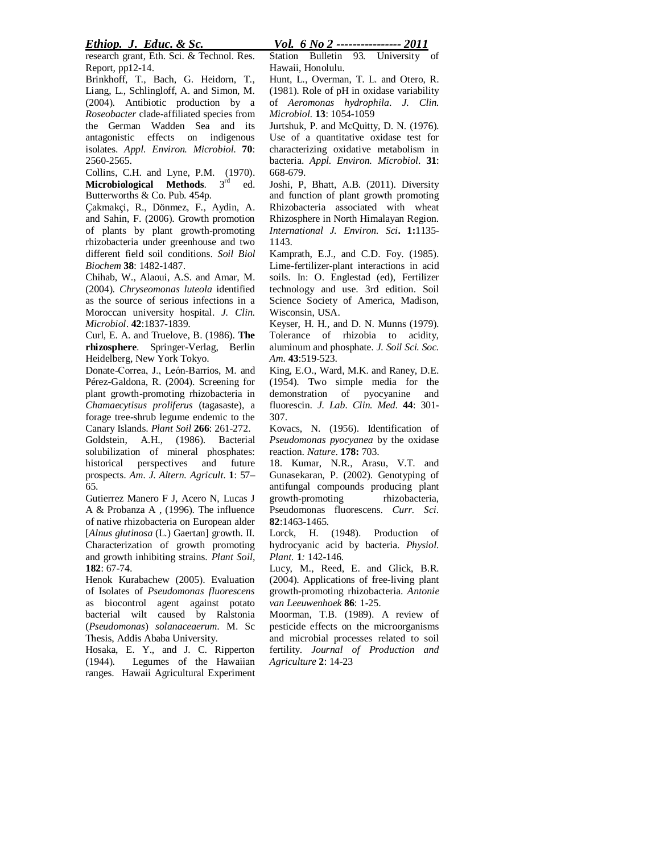*Ethiop. J. Educ. & Sc. Vol. 6 No 2 ---------------- 2011*

research grant, Eth. Sci. & Technol. Res. Report, pp12-14.

Brinkhoff, T., Bach, G. Heidorn, T., Liang, L., Schlingloff, A. and Simon, M. (2004). Antibiotic production by a *Roseobacter* clade-affiliated species from the German Wadden Sea and its antagonistic effects on indigenous isolates. *Appl. Environ. Microbiol*. **70**: 2560-2565.

Collins, C.H. and Lyne, P.M. (1970). **Microbiological Methods.** 3<sup>rd</sup> ed. Butterworths & Co. Pub. 454p.

Çakmakçi, R., Dönmez, F., Aydin, A. and Sahin, F. (2006). Growth promotion of plants by plant growth-promoting rhizobacteria under greenhouse and two different field soil conditions. *Soil Biol Biochem* **38**: 1482-1487.

Chihab, W., Alaoui, A.S. and Amar, M. (2004). *Chryseomonas luteola* identified as the source of serious infections in a Moroccan university hospital. *J. Clin. Microbiol*. **42**:1837-1839.

Curl, E. A. and Truelove, B. (1986). **The rhizosphere**. Springer-Verlag, Berlin Heidelberg, New York Tokyo.

Donate-Correa, J., Leόn-Barrios, M. and Pérez-Galdona, R. (2004). Screening for plant growth-promoting rhizobacteria in *Chamaecytisus proliferus* (tagasaste), a forage tree-shrub legume endemic to the Canary Islands. *Plant Soil* **266**: 261-272. Goldstein, A.H., (1986). Bacterial solubilization of mineral phosphates: historical perspectives and future prospects. *Am. J. Altern. Agricult*. **1**: 57– 65.

Gutierrez Manero F J, Acero N, Lucas J A & Probanza A , (1996). The influence of native rhizobacteria on European alder [*Alnus glutinosa* (L.) Gaertan] growth. II. Characterization of growth promoting and growth inhibiting strains. *Plant Soil*, **182**: 67-74.

Henok Kurabachew (2005). Evaluation of Isolates of *Pseudomonas fluorescens* as biocontrol agent against potato bacterial wilt caused by Ralstonia (*Pseudomonas*) *solanaceaerum*. M. Sc Thesis, Addis Ababa University.

Hosaka, E. Y., and J. C. Ripperton (1944). Legumes of the Hawaiian ranges. Hawaii Agricultural Experiment Station Bulletin 93. University of Hawaii, Honolulu.

Hunt, L., Overman, T. L. and Otero, R. (1981). Role of pH in oxidase variability of *Aeromonas hydrophila*. *J. Clin. Microbiol.* **13**: 1054-1059

Jurtshuk, P. and McQuitty, D. N. (1976). Use of a quantitative oxidase test for characterizing oxidative metabolism in bacteria. *Appl. Environ. Microbiol*. **31**: 668-679.

Joshi, P, Bhatt, A.B. (2011). Diversity and function of plant growth promoting Rhizobacteria associated with wheat Rhizosphere in North Himalayan Region. *International J. Environ. Sci***. 1:**1135- 1143.

Kamprath, E.J., and C.D. Foy. (1985). Lime-fertilizer-plant interactions in acid soils. In: O. Englestad (ed), Fertilizer technology and use. 3rd edition. Soil Science Society of America, Madison, Wisconsin, USA.

Keyser, H. H., and D. N. Munns (1979). Tolerance of rhizobia to acidity, aluminum and phosphate. *J. Soil Sci. Soc. Am*. **43**:519-523.

King, E.O., Ward, M.K. and Raney, D.E. (1954). Two simple media for the demonstration of pyocyanine and fluorescin. *J. Lab. Clin. Med*. **44**: 301- 307.

Kovacs, N. (1956). Identification of *Pseudomonas pyocyanea* by the oxidase reaction. *Nature*. **178:** 703.

18. Kumar, N.R., Arasu, V.T. and Gunasekaran, P. (2002). Genotyping of antifungal compounds producing plant growth-promoting rhizobacteria, Pseudomonas fluorescens. *Curr. Sci*. **82**:1463-1465.

Lorck, H. (1948). Production of hydrocyanic acid by bacteria. *Physiol. Plant.* **1***:* 142-146*.*

Lucy, M., Reed, E. and Glick, B.R. (2004). Applications of free-living plant growth-promoting rhizobacteria. *Antonie van Leeuwenhoek* **86**: 1-25.

Moorman, T.B. (1989). A review of pesticide effects on the microorganisms and microbial processes related to soil fertility. *Journal of Production and Agriculture* **2**: 14-23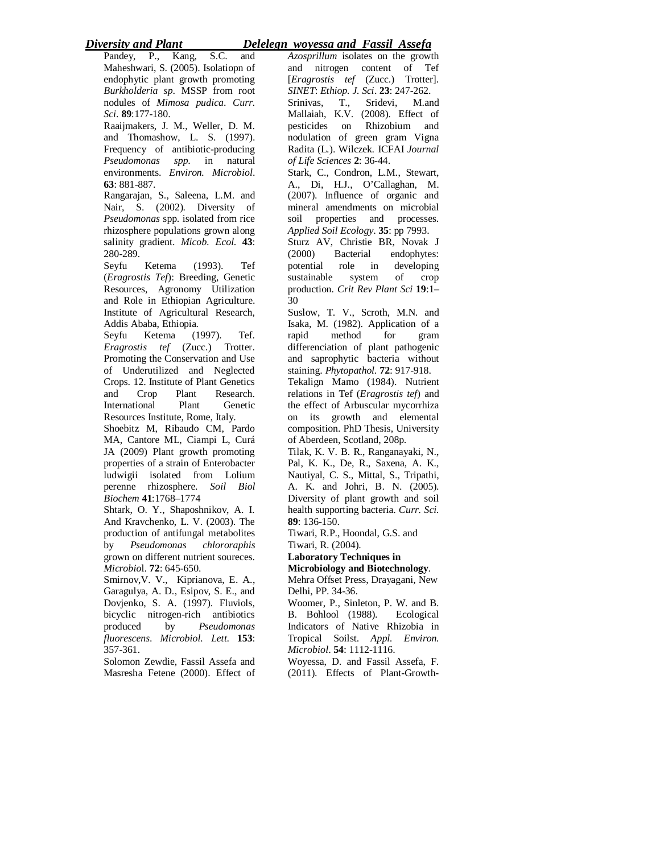# *Diversity and Plant Delelegn woyessa and Fassil Assefa*

Pandey, P., Kang, S.C. and Maheshwari, S. (2005). Isolatiopn of endophytic plant growth promoting *Burkholderia sp*. MSSP from root nodules of *Mimosa pudica*. *Curr. Sci*. **89**:177-180.

Raaijmakers, J. M., Weller, D. M. and Thomashow, L. S. (1997). Frequency of antibiotic-producing *Pseudomonas spp*. in natural environments. *Environ. Microbiol*. **63**: 881-887.

Rangarajan, S., Saleena, L.M. and Nair, S. (2002). Diversity of *Pseudomonas* spp. isolated from rice rhizosphere populations grown along salinity gradient. *Micob. Ecol*. **43**: 280-289.

Seyfu Ketema (1993). Tef (*Eragrostis Tef*): Breeding, Genetic Resources, Agronomy Utilization and Role in Ethiopian Agriculture. Institute of Agricultural Research, Addis Ababa, Ethiopia.

Seyfu Ketema (1997). Tef. *Eragrostis tef* (Zucc.) Trotter. Promoting the Conservation and Use of Underutilized and Neglected Crops. 12. Institute of Plant Genetics and Crop Plant Research. International Plant Genetic Resources Institute, Rome, Italy.

Shoebitz M, Ribaudo CM, Pardo MA, Cantore ML, Ciampi L, Curá JA (2009) Plant growth promoting properties of a strain of Enterobacter ludwigii isolated from Lolium perenne rhizosphere. *Soil Biol Biochem* **41**:1768–1774

Shtark, O. Y., Shaposhnikov, A. I. And Kravchenko, L. V. (2003). The production of antifungal metabolites by *Pseudomonas chlororaphis* grown on different nutrient soureces. *Microbio*l. **72**: 645-650.

Smirnov,V. V., Kiprianova, E. A., Garagulya, A. D., Esipov, S. E., and Dovjenko, S. A. (1997). Fluviols, bicyclic nitrogen-rich antibiotics<br>produced by *Pseudomonas* by *Pseudomonas fluorescens*. *Microbiol. Lett*. **153**: 357-361.

Solomon Zewdie, Fassil Assefa and Masresha Fetene (2000). Effect of *Azosprillum* isolates on the growth and nitrogen content of Tef [*Eragrostis tef* (Zucc.) Trotter]. *SINET*: *Ethiop. J. Sci*. **23**: 247-262. Srinivas, T., Sridevi, M.and Mallaiah, K.V. (2008). Effect of pesticides on Rhizobium and nodulation of green gram Vigna Radita (L.). Wilczek. ICFAI *Journal of Life Sciences* **2**: 36-44.

Stark, C., Condron, L.M., Stewart, A., Di, H.J., O'Callaghan, M. (2007). Influence of organic and mineral amendments on microbial soil properties and processes. *Applied Soil Ecology*. **35**: pp 7993. Sturz AV, Christie BR, Novak J (2000) Bacterial endophytes: potential role in developing sustainable system of crop production. *Crit Rev Plant Sci* **19**:1–

30

Suslow, T. V., Scroth, M.N. and Isaka, M. (1982). Application of a rapid method for gram differenciation of plant pathogenic and saprophytic bacteria without staining. *Phytopathol.* **72**: 917-918. Tekalign Mamo (1984). Nutrient relations in Tef (*Eragrostis tef*) and the effect of Arbuscular mycorrhiza on its growth and elemental composition. PhD Thesis, University of Aberdeen, Scotland, 208p.

Tilak, K. V. B. R., Ranganayaki, N., Pal, K. K., De, R., Saxena, A. K., Nautiyal, C. S., Mittal, S., Tripathi, A. K. and Johri, B. N. (2005). Diversity of plant growth and soil health supporting bacteria. *Curr. Sci.* **89**: 136-150.

Tiwari, R.P., Hoondal, G.S. and Tiwari, R. (2004).

**Laboratory Techniques in** 

**Microbiology and Biotechnology**.

Mehra Offset Press, Drayagani, New Delhi, PP. 34-36.

Woomer, P., Sinleton, P. W. and B. B. Bohlool (1988). Ecological Indicators of Native Rhizobia in Tropical Soilst. *Appl. Environ. Microbiol*. **54**: 1112-1116.

Woyessa, D. and Fassil Assefa, F. (2011). Effects of Plant-Growth